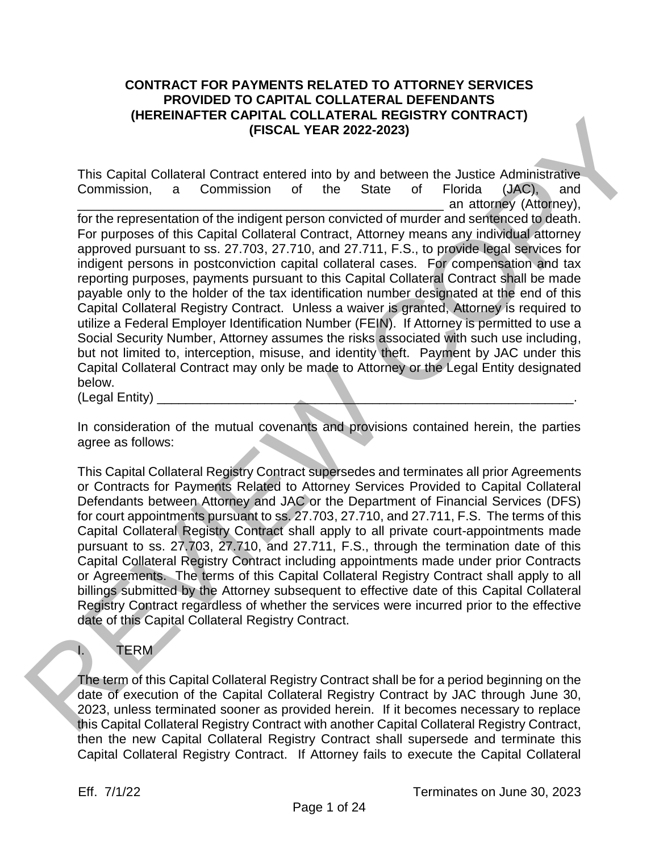#### **CONTRACT FOR PAYMENTS RELATED TO ATTORNEY SERVICES PROVIDED TO CAPITAL COLLATERAL DEFENDANTS (HEREINAFTER CAPITAL COLLATERAL REGISTRY CONTRACT) (FISCAL YEAR 2022-2023)**

This Capital Collateral Contract entered into by and between the Justice Administrative Commission, a Commission of the State of Florida (JAC), and an attorney (Attorney), for the representation of the indigent person convicted of murder and sentenced to death. For purposes of this Capital Collateral Contract, Attorney means any individual attorney approved pursuant to ss. 27.703, 27.710, and 27.711, F.S., to provide legal services for indigent persons in postconviction capital collateral cases. For compensation and tax reporting purposes, payments pursuant to this Capital Collateral Contract shall be made payable only to the holder of the tax identification number designated at the end of this Capital Collateral Registry Contract. Unless a waiver is granted, Attorney is required to utilize a Federal Employer Identification Number (FEIN). If Attorney is permitted to use a Social Security Number, Attorney assumes the risks associated with such use including, but not limited to, interception, misuse, and identity theft. Payment by JAC under this Capital Collateral Contract may only be made to Attorney or the Legal Entity designated below. (HEKEINAFIER CAPITAL COULTAIN CHO AND AND AND THE CAPITAL COULTAIN COULTAIN COULTAIN CONTINUES.<br>
THIS Capital Collateral Contract entered into by and between the Justice Administrative-<br>
Commission, a Commission of the St

(Legal Entity)

In consideration of the mutual covenants and provisions contained herein, the parties agree as follows:

This Capital Collateral Registry Contract supersedes and terminates all prior Agreements or Contracts for Payments Related to Attorney Services Provided to Capital Collateral Defendants between Attorney and JAC or the Department of Financial Services (DFS) for court appointments pursuant to ss. 27.703, 27.710, and 27.711, F.S. The terms of this Capital Collateral Registry Contract shall apply to all private court-appointments made pursuant to ss. 27.703, 27.710, and 27.711, F.S., through the termination date of this Capital Collateral Registry Contract including appointments made under prior Contracts or Agreements. The terms of this Capital Collateral Registry Contract shall apply to all billings submitted by the Attorney subsequent to effective date of this Capital Collateral Registry Contract regardless of whether the services were incurred prior to the effective date of this Capital Collateral Registry Contract.

# I. TERM

The term of this Capital Collateral Registry Contract shall be for a period beginning on the date of execution of the Capital Collateral Registry Contract by JAC through June 30, 2023, unless terminated sooner as provided herein. If it becomes necessary to replace this Capital Collateral Registry Contract with another Capital Collateral Registry Contract, then the new Capital Collateral Registry Contract shall supersede and terminate this Capital Collateral Registry Contract. If Attorney fails to execute the Capital Collateral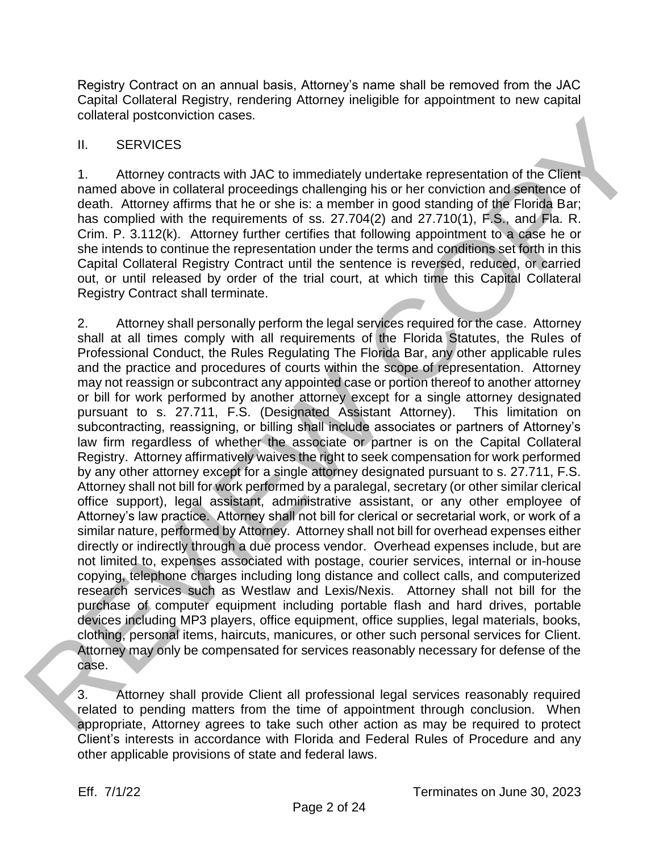Registry Contract on an annual basis, Attorney's name shall be removed from the JAC Capital Collateral Registry, rendering Attorney ineligible for appointment to new capital collateral postconviction cases.

#### II. SERVICES

1. Attorney contracts with JAC to immediately undertake representation of the Client named above in collateral proceedings challenging his or her conviction and sentence of death. Attorney affirms that he or she is: a member in good standing of the Florida Bar; has complied with the requirements of ss. 27.704(2) and 27.710(1), F.S., and Fla. R. Crim. P. 3.112(k). Attorney further certifies that following appointment to a case he or she intends to continue the representation under the terms and conditions set forth in this Capital Collateral Registry Contract until the sentence is reversed, reduced, or carried out, or until released by order of the trial court, at which time this Capital Collateral Registry Contract shall terminate.

2. Attorney shall personally perform the legal services required for the case. Attorney shall at all times comply with all requirements of the Florida Statutes, the Rules of Professional Conduct, the Rules Regulating The Florida Bar, any other applicable rules and the practice and procedures of courts within the scope of representation. Attorney may not reassign or subcontract any appointed case or portion thereof to another attorney or bill for work performed by another attorney except for a single attorney designated pursuant to s. 27.711, F.S. (Designated Assistant Attorney). This limitation on subcontracting, reassigning, or billing shall include associates or partners of Attorney's law firm regardless of whether the associate or partner is on the Capital Collateral Registry. Attorney affirmatively waives the right to seek compensation for work performed by any other attorney except for a single attorney designated pursuant to s. 27.711, F.S. Attorney shall not bill for work performed by a paralegal, secretary (or other similar clerical office support), legal assistant, administrative assistant, or any other employee of Attorney's law practice. Attorney shall not bill for clerical or secretarial work, or work of a similar nature, performed by Attorney. Attorney shall not bill for overhead expenses either directly or indirectly through a due process vendor. Overhead expenses include, but are not limited to, expenses associated with postage, courier services, internal or in-house copying, telephone charges including long distance and collect calls, and computerized research services such as Westlaw and Lexis/Nexis. Attorney shall not bill for the purchase of computer equipment including portable flash and hard drives, portable devices including MP3 players, office equipment, office supplies, legal materials, books, clothing, personal items, haircuts, manicures, or other such personal services for Client. Attorney may only be compensated for services reasonably necessary for defense of the case. outsterar postconviction cases.<br>
I. SERVICES (WER SERVICES INTERNATION and the Clear manned above in collation of the Clear manned above in collation procedures challenging its or her conviction and services of a<br>
Hatter o

3. Attorney shall provide Client all professional legal services reasonably required related to pending matters from the time of appointment through conclusion. When appropriate, Attorney agrees to take such other action as may be required to protect Client's interests in accordance with Florida and Federal Rules of Procedure and any other applicable provisions of state and federal laws.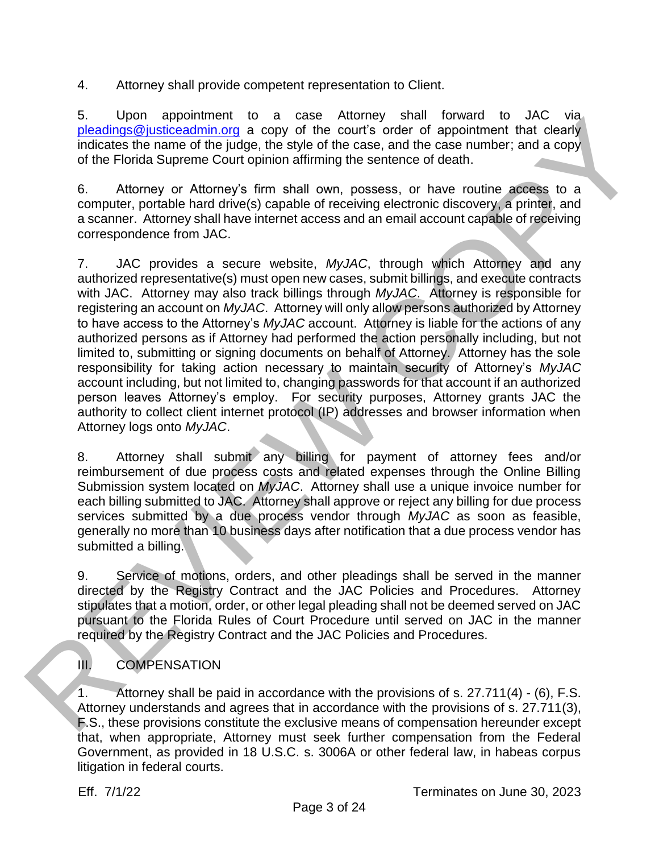4. Attorney shall provide competent representation to Client.

5. Upon appointment to a case Attorney shall forward to JAC via pleadings@justiceadmin.org a copy of the court's order of appointment that clearly indicates the name of the judge, the style of the case, and the case number; and a copy of the Florida Supreme Court opinion affirming the sentence of death.

6. Attorney or Attorney's firm shall own, possess, or have routine access to a computer, portable hard drive(s) capable of receiving electronic discovery, a printer, and a scanner. Attorney shall have internet access and an email account capable of receiving correspondence from JAC.

7. JAC provides a secure website, *MyJAC*, through which Attorney and any authorized representative(s) must open new cases, submit billings, and execute contracts with JAC. Attorney may also track billings through *MyJAC*. Attorney is responsible for registering an account on *MyJAC*. Attorney will only allow persons authorized by Attorney to have access to the Attorney's *MyJAC* account. Attorney is liable for the actions of any authorized persons as if Attorney had performed the action personally including, but not limited to, submitting or signing documents on behalf of Attorney. Attorney has the sole responsibility for taking action necessary to maintain security of Attorney's *MyJAC* account including, but not limited to, changing passwords for that account if an authorized person leaves Attorney's employ. For security purposes, Attorney grants JAC the authority to collect client internet protocol (IP) addresses and browser information when Attorney logs onto *MyJAC*. 3. Lipson appoinnent to a case witching to an access and the case in the present to a scale the name of this plane the back and the case and the case in the size of the Fordia Superinte Court cylinming the sensitive of th

8. Attorney shall submit any billing for payment of attorney fees and/or reimbursement of due process costs and related expenses through the Online Billing Submission system located on *MyJAC*. Attorney shall use a unique invoice number for each billing submitted to JAC. Attorney shall approve or reject any billing for due process services submitted by a due process vendor through *MyJAC* as soon as feasible, generally no more than 10 business days after notification that a due process vendor has submitted a billing.

9. Service of motions, orders, and other pleadings shall be served in the manner directed by the Registry Contract and the JAC Policies and Procedures. Attorney stipulates that a motion, order, or other legal pleading shall not be deemed served on JAC pursuant to the Florida Rules of Court Procedure until served on JAC in the manner required by the Registry Contract and the JAC Policies and Procedures.

# III. COMPENSATION

1. Attorney shall be paid in accordance with the provisions of s. 27.711(4) - (6), F.S. Attorney understands and agrees that in accordance with the provisions of s. 27.711(3), F.S., these provisions constitute the exclusive means of compensation hereunder except that, when appropriate, Attorney must seek further compensation from the Federal Government, as provided in 18 U.S.C. s. 3006A or other federal law, in habeas corpus litigation in federal courts.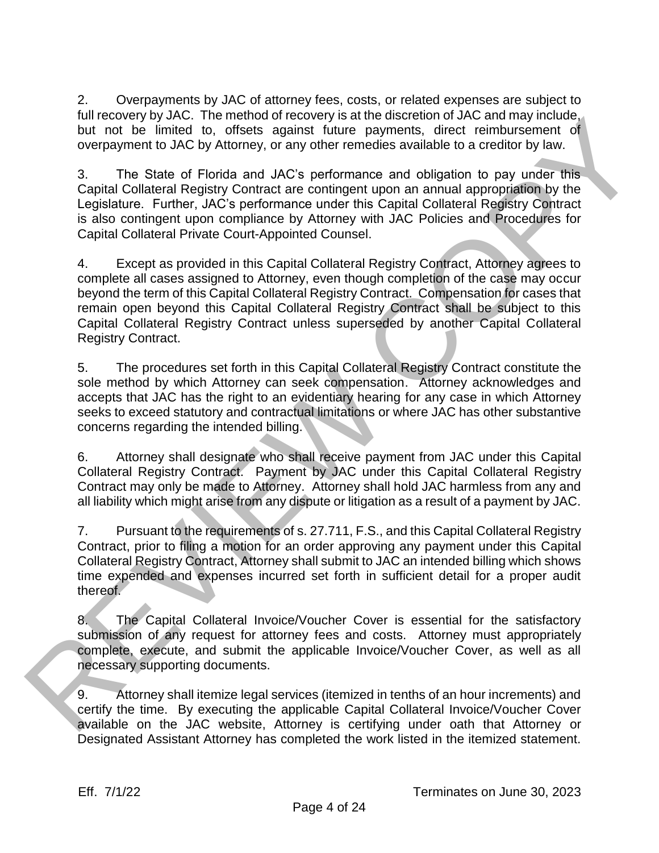2. Overpayments by JAC of attorney fees, costs, or related expenses are subject to full recovery by JAC. The method of recovery is at the discretion of JAC and may include, but not be limited to, offsets against future payments, direct reimbursement of overpayment to JAC by Attorney, or any other remedies available to a creditor by law.

3. The State of Florida and JAC's performance and obligation to pay under this Capital Collateral Registry Contract are contingent upon an annual appropriation by the Legislature. Further, JAC's performance under this Capital Collateral Registry Contract is also contingent upon compliance by Attorney with JAC Policies and Procedures for Capital Collateral Private Court-Appointed Counsel.

4. Except as provided in this Capital Collateral Registry Contract, Attorney agrees to complete all cases assigned to Attorney, even though completion of the case may occur beyond the term of this Capital Collateral Registry Contract. Compensation for cases that remain open beyond this Capital Collateral Registry Contract shall be subject to this Capital Collateral Registry Contract unless superseded by another Capital Collateral Registry Contract. turn recovery by you. In emerinos or recovery is a trie also reached to during translation and the constrained to a<br>but in the time of the constraints of the constraints of the constraints of<br>orientation of the constraints

5. The procedures set forth in this Capital Collateral Registry Contract constitute the sole method by which Attorney can seek compensation. Attorney acknowledges and accepts that JAC has the right to an evidentiary hearing for any case in which Attorney seeks to exceed statutory and contractual limitations or where JAC has other substantive concerns regarding the intended billing.

6. Attorney shall designate who shall receive payment from JAC under this Capital Collateral Registry Contract. Payment by JAC under this Capital Collateral Registry Contract may only be made to Attorney. Attorney shall hold JAC harmless from any and all liability which might arise from any dispute or litigation as a result of a payment by JAC.

7. Pursuant to the requirements of s. 27.711, F.S., and this Capital Collateral Registry Contract, prior to filing a motion for an order approving any payment under this Capital Collateral Registry Contract, Attorney shall submit to JAC an intended billing which shows time expended and expenses incurred set forth in sufficient detail for a proper audit thereof.

8. The Capital Collateral Invoice/Voucher Cover is essential for the satisfactory submission of any request for attorney fees and costs. Attorney must appropriately complete, execute, and submit the applicable Invoice/Voucher Cover, as well as all necessary supporting documents.

9. Attorney shall itemize legal services (itemized in tenths of an hour increments) and certify the time. By executing the applicable Capital Collateral Invoice/Voucher Cover available on the JAC website, Attorney is certifying under oath that Attorney or Designated Assistant Attorney has completed the work listed in the itemized statement.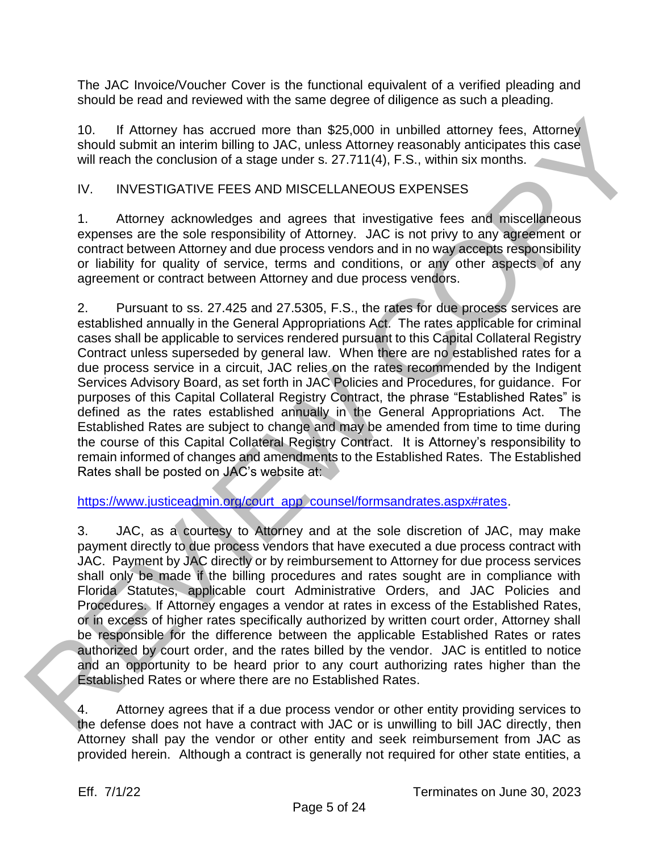The JAC Invoice/Voucher Cover is the functional equivalent of a verified pleading and should be read and reviewed with the same degree of diligence as such a pleading.

10. If Attorney has accrued more than \$25,000 in unbilled attorney fees, Attorney should submit an interim billing to JAC, unless Attorney reasonably anticipates this case will reach the conclusion of a stage under s. 27.711(4), F.S., within six months.

#### IV. INVESTIGATIVE FEES AND MISCELLANEOUS EXPENSES

1. Attorney acknowledges and agrees that investigative fees and miscellaneous expenses are the sole responsibility of Attorney. JAC is not privy to any agreement or contract between Attorney and due process vendors and in no way accepts responsibility or liability for quality of service, terms and conditions, or any other aspects of any agreement or contract between Attorney and due process vendors.

2. Pursuant to ss. 27.425 and 27.5305, F.S., the rates for due process services are established annually in the General Appropriations Act. The rates applicable for criminal cases shall be applicable to services rendered pursuant to this Capital Collateral Registry Contract unless superseded by general law. When there are no established rates for a due process service in a circuit, JAC relies on the rates recommended by the Indigent Services Advisory Board, as set forth in JAC Policies and Procedures, for guidance. For purposes of this Capital Collateral Registry Contract, the phrase "Established Rates" is defined as the rates established annually in the General Appropriations Act. The Established Rates are subject to change and may be amended from time to time during the course of this Capital Collateral Registry Contract. It is Attorney's responsibility to remain informed of changes and amendments to the Established Rates. The Established Rates shall be posted on JAC's website at: 10. If Attornoy has accrued more han \$25,000 in unbilled attompy leas, Attornoy<br>should submit an interim billing to JAC, unless Attornoy (searchly anticipates this case<br>will result the morntosion of a stage under s. 27.711

https://www.justiceadmin.org/court\_app\_counsel/formsandrates.aspx#rates.

3. JAC, as a courtesy to Attorney and at the sole discretion of JAC, may make payment directly to due process vendors that have executed a due process contract with JAC. Payment by JAC directly or by reimbursement to Attorney for due process services shall only be made if the billing procedures and rates sought are in compliance with Florida Statutes, applicable court Administrative Orders, and JAC Policies and Procedures. If Attorney engages a vendor at rates in excess of the Established Rates, or in excess of higher rates specifically authorized by written court order, Attorney shall be responsible for the difference between the applicable Established Rates or rates authorized by court order, and the rates billed by the vendor. JAC is entitled to notice and an opportunity to be heard prior to any court authorizing rates higher than the Established Rates or where there are no Established Rates.

4. Attorney agrees that if a due process vendor or other entity providing services to the defense does not have a contract with JAC or is unwilling to bill JAC directly, then Attorney shall pay the vendor or other entity and seek reimbursement from JAC as provided herein. Although a contract is generally not required for other state entities, a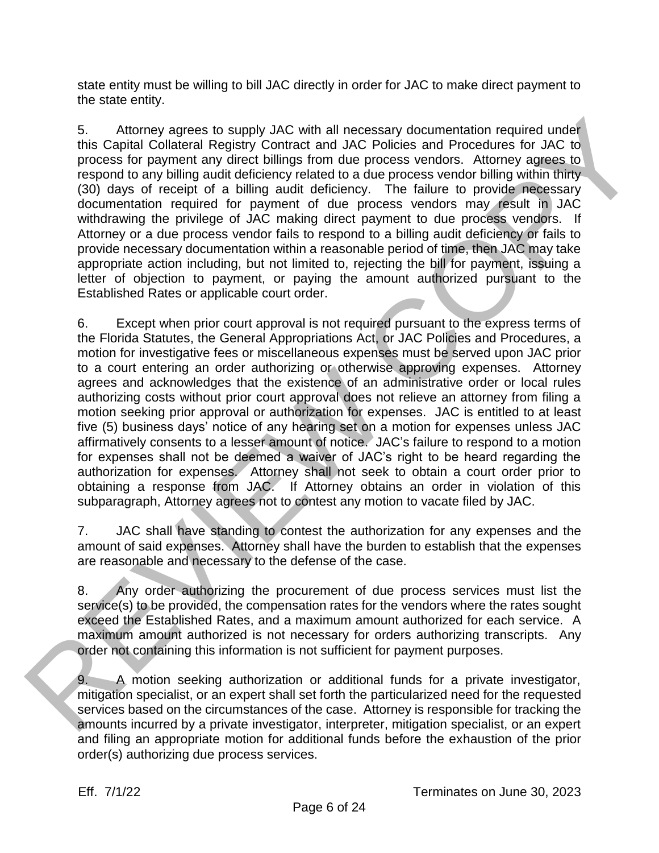state entity must be willing to bill JAC directly in order for JAC to make direct payment to the state entity.

5. Attorney agrees to supply JAC with all necessary documentation required under this Capital Collateral Registry Contract and JAC Policies and Procedures for JAC to process for payment any direct billings from due process vendors. Attorney agrees to respond to any billing audit deficiency related to a due process vendor billing within thirty (30) days of receipt of a billing audit deficiency. The failure to provide necessary documentation required for payment of due process vendors may result in JAC withdrawing the privilege of JAC making direct payment to due process vendors. If Attorney or a due process vendor fails to respond to a billing audit deficiency or fails to provide necessary documentation within a reasonable period of time, then JAC may take appropriate action including, but not limited to, rejecting the bill for payment, issuing a letter of objection to payment, or paying the amount authorized pursuant to the Established Rates or applicable court order.

6. Except when prior court approval is not required pursuant to the express terms of the Florida Statutes, the General Appropriations Act, or JAC Policies and Procedures, a motion for investigative fees or miscellaneous expenses must be served upon JAC prior to a court entering an order authorizing or otherwise approving expenses. Attorney agrees and acknowledges that the existence of an administrative order or local rules authorizing costs without prior court approval does not relieve an attorney from filing a motion seeking prior approval or authorization for expenses. JAC is entitled to at least five (5) business days' notice of any hearing set on a motion for expenses unless JAC affirmatively consents to a lesser amount of notice. JAC's failure to respond to a motion for expenses shall not be deemed a waiver of JAC's right to be heard regarding the authorization for expenses. Attorney shall not seek to obtain a court order prior to obtaining a response from JAC. If Attorney obtains an order in violation of this subparagraph, Attorney agrees not to contest any motion to vacate filed by JAC. 5.<br>
Califormation required to supply JAC with all necessary documentation required under<br>
time-capital colletion President Deliveration frequency in constraining the model in constraining and the process wendof bulling wit

7. JAC shall have standing to contest the authorization for any expenses and the amount of said expenses. Attorney shall have the burden to establish that the expenses are reasonable and necessary to the defense of the case.

8. Any order authorizing the procurement of due process services must list the service(s) to be provided, the compensation rates for the vendors where the rates sought exceed the Established Rates, and a maximum amount authorized for each service. A maximum amount authorized is not necessary for orders authorizing transcripts. Any order not containing this information is not sufficient for payment purposes.

9. A motion seeking authorization or additional funds for a private investigator, mitigation specialist, or an expert shall set forth the particularized need for the requested services based on the circumstances of the case. Attorney is responsible for tracking the amounts incurred by a private investigator, interpreter, mitigation specialist, or an expert and filing an appropriate motion for additional funds before the exhaustion of the prior order(s) authorizing due process services.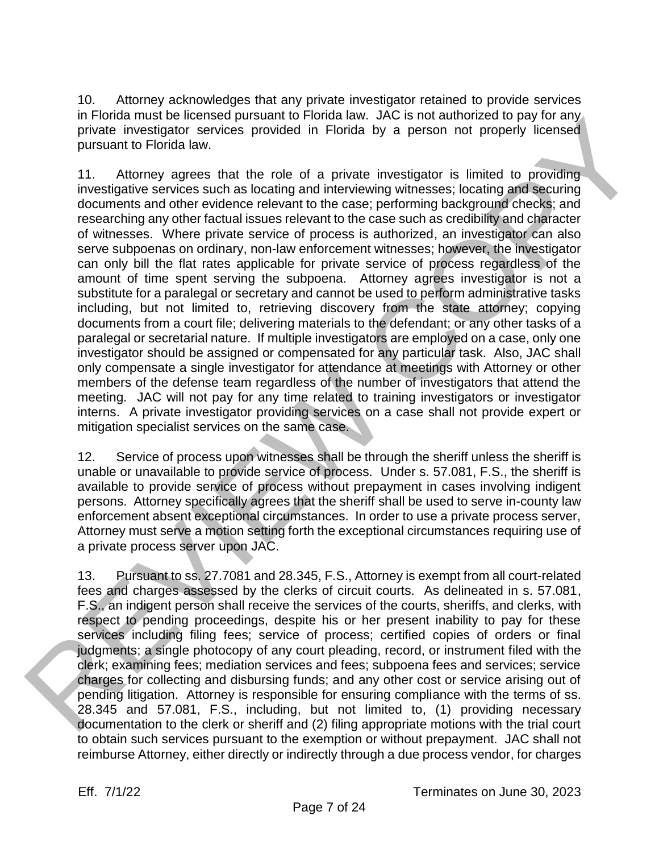10. Attorney acknowledges that any private investigator retained to provide services in Florida must be licensed pursuant to Florida law. JAC is not authorized to pay for any private investigator services provided in Florida by a person not properly licensed pursuant to Florida law.

11. Attorney agrees that the role of a private investigator is limited to providing investigative services such as locating and interviewing witnesses; locating and securing documents and other evidence relevant to the case; performing background checks; and researching any other factual issues relevant to the case such as credibility and character of witnesses. Where private service of process is authorized, an investigator can also serve subpoenas on ordinary, non-law enforcement witnesses; however, the investigator can only bill the flat rates applicable for private service of process regardless of the amount of time spent serving the subpoena. Attorney agrees investigator is not a substitute for a paralegal or secretary and cannot be used to perform administrative tasks including, but not limited to, retrieving discovery from the state attorney; copying documents from a court file; delivering materials to the defendant; or any other tasks of a paralegal or secretarial nature. If multiple investigators are employed on a case, only one investigator should be assigned or compensated for any particular task. Also, JAC shall only compensate a single investigator for attendance at meetings with Attorney or other members of the defense team regardless of the number of investigators that attend the meeting. JAC will not pay for any time related to training investigators or investigator interns. A private investigator providing services on a case shall not provide expert or mitigation specialist services on the same case. In-hones must be licenseed pursuant to honda is w. Jov. Is not automoge to pay for any the mediation and property incereasing the pursuant is property incereasing the pursuant to Florida law. Jov. Is not allow the pursuant

12. Service of process upon witnesses shall be through the sheriff unless the sheriff is unable or unavailable to provide service of process. Under s. 57.081, F.S., the sheriff is available to provide service of process without prepayment in cases involving indigent persons. Attorney specifically agrees that the sheriff shall be used to serve in-county law enforcement absent exceptional circumstances. In order to use a private process server, Attorney must serve a motion setting forth the exceptional circumstances requiring use of a private process server upon JAC.

13. Pursuant to ss. 27.7081 and 28.345, F.S., Attorney is exempt from all court-related fees and charges assessed by the clerks of circuit courts. As delineated in s. 57.081, F.S., an indigent person shall receive the services of the courts, sheriffs, and clerks, with respect to pending proceedings, despite his or her present inability to pay for these services including filing fees; service of process; certified copies of orders or final judgments; a single photocopy of any court pleading, record, or instrument filed with the clerk; examining fees; mediation services and fees; subpoena fees and services; service charges for collecting and disbursing funds; and any other cost or service arising out of pending litigation. Attorney is responsible for ensuring compliance with the terms of ss. 28.345 and 57.081, F.S., including, but not limited to, (1) providing necessary documentation to the clerk or sheriff and (2) filing appropriate motions with the trial court to obtain such services pursuant to the exemption or without prepayment. JAC shall not reimburse Attorney, either directly or indirectly through a due process vendor, for charges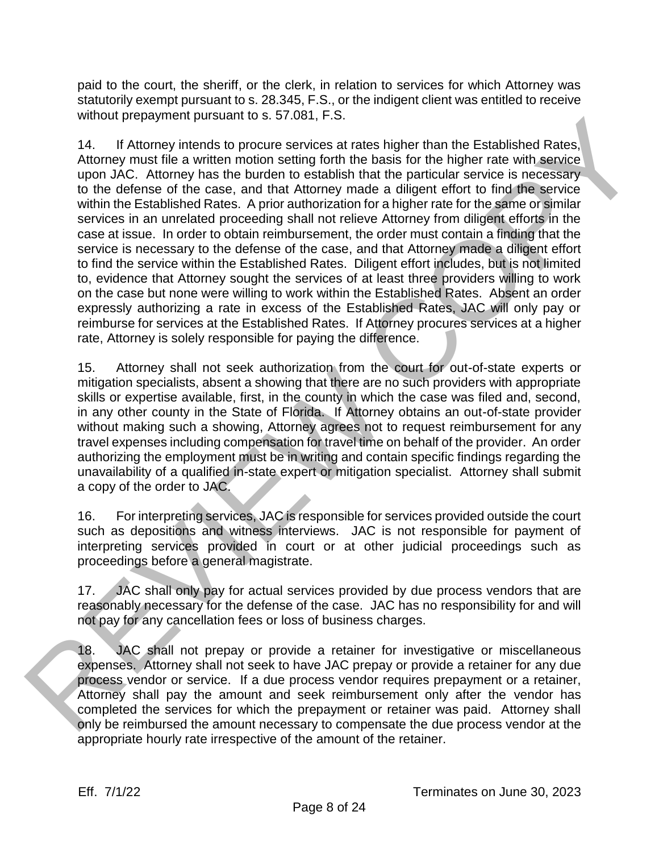paid to the court, the sheriff, or the clerk, in relation to services for which Attorney was statutorily exempt pursuant to s. 28.345, F.S., or the indigent client was entitled to receive without prepayment pursuant to s. 57.081, F.S.

14. If Attorney intends to procure services at rates higher than the Established Rates, Attorney must file a written motion setting forth the basis for the higher rate with service upon JAC. Attorney has the burden to establish that the particular service is necessary to the defense of the case, and that Attorney made a diligent effort to find the service within the Established Rates. A prior authorization for a higher rate for the same or similar services in an unrelated proceeding shall not relieve Attorney from diligent efforts in the case at issue. In order to obtain reimbursement, the order must contain a finding that the service is necessary to the defense of the case, and that Attorney made a diligent effort to find the service within the Established Rates. Diligent effort includes, but is not limited to, evidence that Attorney sought the services of at least three providers willing to work on the case but none were willing to work within the Established Rates. Absent an order expressly authorizing a rate in excess of the Established Rates, JAC will only pay or reimburse for services at the Established Rates. If Attorney procures services at a higher rate, Attorney is solely responsible for paying the difference. without prespyrine publishes to 5.7 user. F.S. a court of the basis higher than the Established Rates,<br>Afthoney mutual ties a vertice method in the third in the stable for the higher states and the method of the anitom of

15. Attorney shall not seek authorization from the court for out-of-state experts or mitigation specialists, absent a showing that there are no such providers with appropriate skills or expertise available, first, in the county in which the case was filed and, second, in any other county in the State of Florida. If Attorney obtains an out-of-state provider without making such a showing, Attorney agrees not to request reimbursement for any travel expenses including compensation for travel time on behalf of the provider. An order authorizing the employment must be in writing and contain specific findings regarding the unavailability of a qualified in-state expert or mitigation specialist. Attorney shall submit a copy of the order to JAC.

16. For interpreting services, JAC is responsible for services provided outside the court such as depositions and witness interviews. JAC is not responsible for payment of interpreting services provided in court or at other judicial proceedings such as proceedings before a general magistrate.

17. JAC shall only pay for actual services provided by due process vendors that are reasonably necessary for the defense of the case. JAC has no responsibility for and will not pay for any cancellation fees or loss of business charges.

18. JAC shall not prepay or provide a retainer for investigative or miscellaneous expenses. Attorney shall not seek to have JAC prepay or provide a retainer for any due process vendor or service. If a due process vendor requires prepayment or a retainer, Attorney shall pay the amount and seek reimbursement only after the vendor has completed the services for which the prepayment or retainer was paid. Attorney shall only be reimbursed the amount necessary to compensate the due process vendor at the appropriate hourly rate irrespective of the amount of the retainer.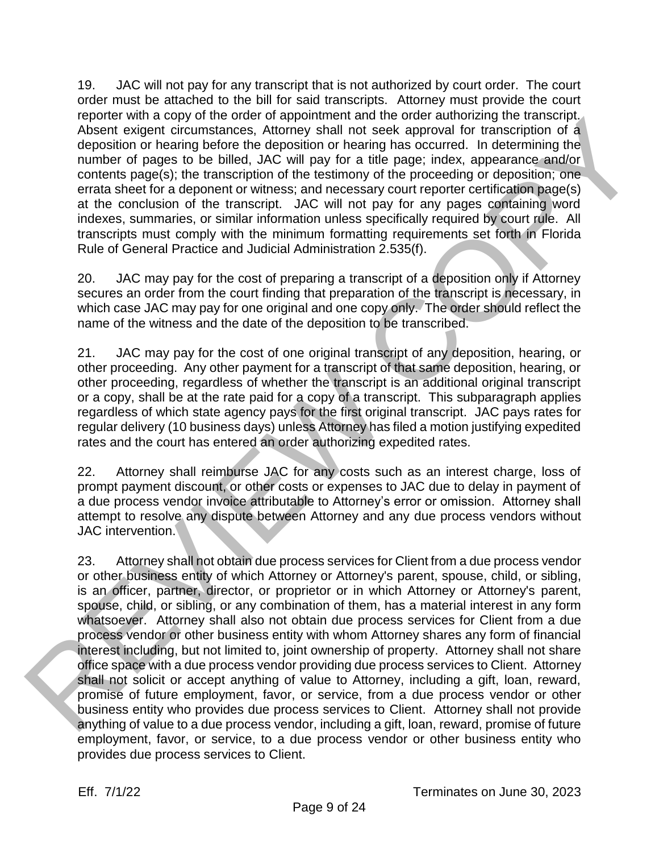19. JAC will not pay for any transcript that is not authorized by court order. The court order must be attached to the bill for said transcripts. Attorney must provide the court reporter with a copy of the order of appointment and the order authorizing the transcript. Absent exigent circumstances, Attorney shall not seek approval for transcription of a deposition or hearing before the deposition or hearing has occurred. In determining the number of pages to be billed, JAC will pay for a title page; index, appearance and/or contents page(s); the transcription of the testimony of the proceeding or deposition; one errata sheet for a deponent or witness; and necessary court reporter certification page(s) at the conclusion of the transcript. JAC will not pay for any pages containing word indexes, summaries, or similar information unless specifically required by court rule. All transcripts must comply with the minimum formatting requirements set forth in Florida Rule of General Practice and Judicial Administration 2.535(f).

20. JAC may pay for the cost of preparing a transcript of a deposition only if Attorney secures an order from the court finding that preparation of the transcript is necessary, in which case JAC may pay for one original and one copy only. The order should reflect the name of the witness and the date of the deposition to be transcribed.

21. JAC may pay for the cost of one original transcript of any deposition, hearing, or other proceeding. Any other payment for a transcript of that same deposition, hearing, or other proceeding, regardless of whether the transcript is an additional original transcript or a copy, shall be at the rate paid for a copy of a transcript. This subparagraph applies regardless of which state agency pays for the first original transcript. JAC pays rates for regular delivery (10 business days) unless Attorney has filed a motion justifying expedited rates and the court has entered an order authorizing expedited rates.

22. Attorney shall reimburse JAC for any costs such as an interest charge, loss of prompt payment discount, or other costs or expenses to JAC due to delay in payment of a due process vendor invoice attributable to Attorney's error or omission. Attorney shall attempt to resolve any dispute between Attorney and any due process vendors without JAC intervention.

23. Attorney shall not obtain due process services for Client from a due process vendor or other business entity of which Attorney or Attorney's parent, spouse, child, or sibling, is an officer, partner, director, or proprietor or in which Attorney or Attorney's parent, spouse, child, or sibling, or any combination of them, has a material interest in any form whatsoever. Attorney shall also not obtain due process services for Client from a due process vendor or other business entity with whom Attorney shares any form of financial interest including, but not limited to, joint ownership of property. Attorney shall not share office space with a due process vendor providing due process services to Client. Attorney shall not solicit or accept anything of value to Attorney, including a gift, loan, reward, promise of future employment, favor, or service, from a due process vendor or other business entity who provides due process services to Client. Attorney shall not provide anything of value to a due process vendor, including a gift, loan, reward, promise of future employment, favor, or service, to a due process vendor or other business entity who Report with a copy of the order of supportment and the order authorizing the ratischic-<br>Aboard adjacent actions a Altomy shall not sook approval of transcription of a<br>single-action of maints below alternative alternative m provides due process services to Client.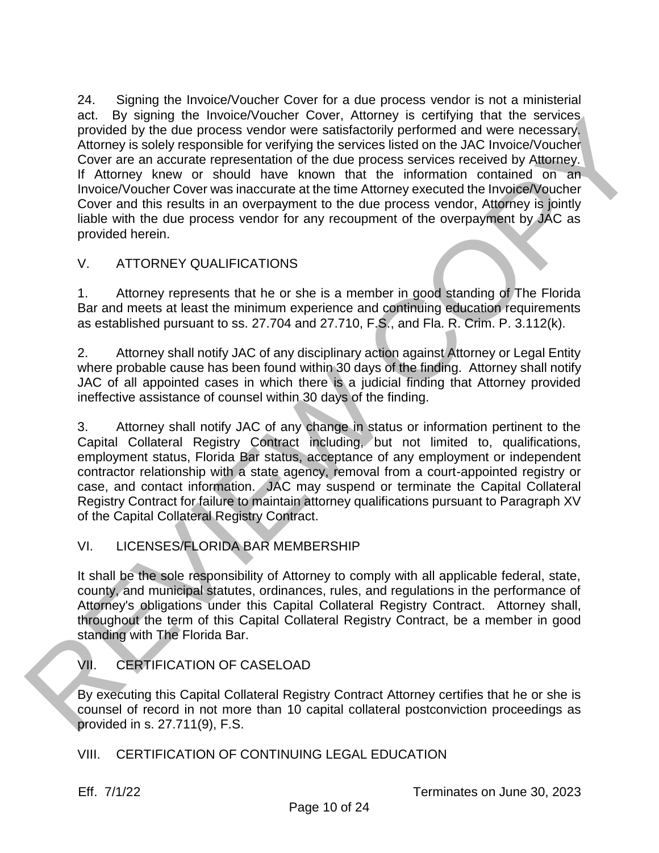24. Signing the Invoice/Voucher Cover for a due process vendor is not a ministerial act. By signing the Invoice/Voucher Cover, Attorney is certifying that the services provided by the due process vendor were satisfactorily performed and were necessary. Attorney is solely responsible for verifying the services listed on the JAC Invoice/Voucher Cover are an accurate representation of the due process services received by Attorney. If Attorney knew or should have known that the information contained on an Invoice/Voucher Cover was inaccurate at the time Attorney executed the Invoice/Voucher Cover and this results in an overpayment to the due process vendor, Attorney is jointly liable with the due process vendor for any recoupment of the overpayment by JAC as provided herein. act. "By signing the involve volcote corocity. Attorney is sertinging that the serves of the more than the serves of the Murrime Hauthous Hauthous Hauthous Control in Although the control of the Murrime Victoria (in the M

# V. ATTORNEY QUALIFICATIONS

1. Attorney represents that he or she is a member in good standing of The Florida Bar and meets at least the minimum experience and continuing education requirements as established pursuant to ss. 27.704 and 27.710, F.S., and Fla. R. Crim. P. 3.112(k).

2. Attorney shall notify JAC of any disciplinary action against Attorney or Legal Entity where probable cause has been found within 30 days of the finding. Attorney shall notify JAC of all appointed cases in which there is a judicial finding that Attorney provided ineffective assistance of counsel within 30 days of the finding.

3. Attorney shall notify JAC of any change in status or information pertinent to the Capital Collateral Registry Contract including, but not limited to, qualifications, employment status, Florida Bar status, acceptance of any employment or independent contractor relationship with a state agency, removal from a court-appointed registry or case, and contact information. JAC may suspend or terminate the Capital Collateral Registry Contract for failure to maintain attorney qualifications pursuant to Paragraph XV of the Capital Collateral Registry Contract.

# VI. LICENSES/FLORIDA BAR MEMBERSHIP

It shall be the sole responsibility of Attorney to comply with all applicable federal, state, county, and municipal statutes, ordinances, rules, and regulations in the performance of Attorney's obligations under this Capital Collateral Registry Contract. Attorney shall, throughout the term of this Capital Collateral Registry Contract, be a member in good standing with The Florida Bar.

# VII. CERTIFICATION OF CASELOAD

By executing this Capital Collateral Registry Contract Attorney certifies that he or she is counsel of record in not more than 10 capital collateral postconviction proceedings as provided in s. 27.711(9), F.S.

VIII. CERTIFICATION OF CONTINUING LEGAL EDUCATION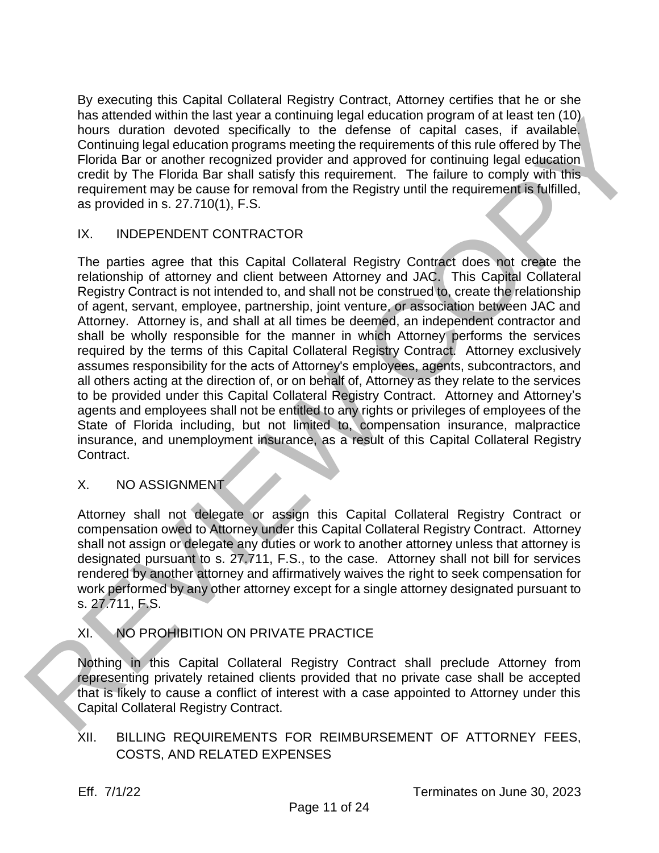By executing this Capital Collateral Registry Contract, Attorney certifies that he or she has attended within the last year a continuing legal education program of at least ten (10) hours duration devoted specifically to the defense of capital cases, if available. Continuing legal education programs meeting the requirements of this rule offered by The Florida Bar or another recognized provider and approved for continuing legal education credit by The Florida Bar shall satisfy this requirement. The failure to comply with this requirement may be cause for removal from the Registry until the requirement is fulfilled, as provided in s. 27.710(1), F.S.

#### IX. INDEPENDENT CONTRACTOR

The parties agree that this Capital Collateral Registry Contract does not create the relationship of attorney and client between Attorney and JAC. This Capital Collateral Registry Contract is not intended to, and shall not be construed to, create the relationship of agent, servant, employee, partnership, joint venture, or association between JAC and Attorney. Attorney is, and shall at all times be deemed, an independent contractor and shall be wholly responsible for the manner in which Attorney performs the services required by the terms of this Capital Collateral Registry Contract. Attorney exclusively assumes responsibility for the acts of Attorney's employees, agents, subcontractors, and all others acting at the direction of, or on behalf of, Attorney as they relate to the services to be provided under this Capital Collateral Registry Contract. Attorney and Attorney's agents and employees shall not be entitled to any rights or privileges of employees of the State of Florida including, but not limited to, compensation insurance, malpractice insurance, and unemployment insurance, as a result of this Capital Collateral Registry Contract. has a menote and when the star enorming lege eucestine in propries the menote and the control of the control of the control of the control of the control of the control of the control of the control of the control of the c

#### X. NO ASSIGNMENT

Attorney shall not delegate or assign this Capital Collateral Registry Contract or compensation owed to Attorney under this Capital Collateral Registry Contract. Attorney shall not assign or delegate any duties or work to another attorney unless that attorney is designated pursuant to s. 27.711, F.S., to the case. Attorney shall not bill for services rendered by another attorney and affirmatively waives the right to seek compensation for work performed by any other attorney except for a single attorney designated pursuant to s. 27.711, F.S.

# XI. NO PROHIBITION ON PRIVATE PRACTICE

Nothing in this Capital Collateral Registry Contract shall preclude Attorney from representing privately retained clients provided that no private case shall be accepted that is likely to cause a conflict of interest with a case appointed to Attorney under this Capital Collateral Registry Contract.

## XII. BILLING REQUIREMENTS FOR REIMBURSEMENT OF ATTORNEY FEES, COSTS, AND RELATED EXPENSES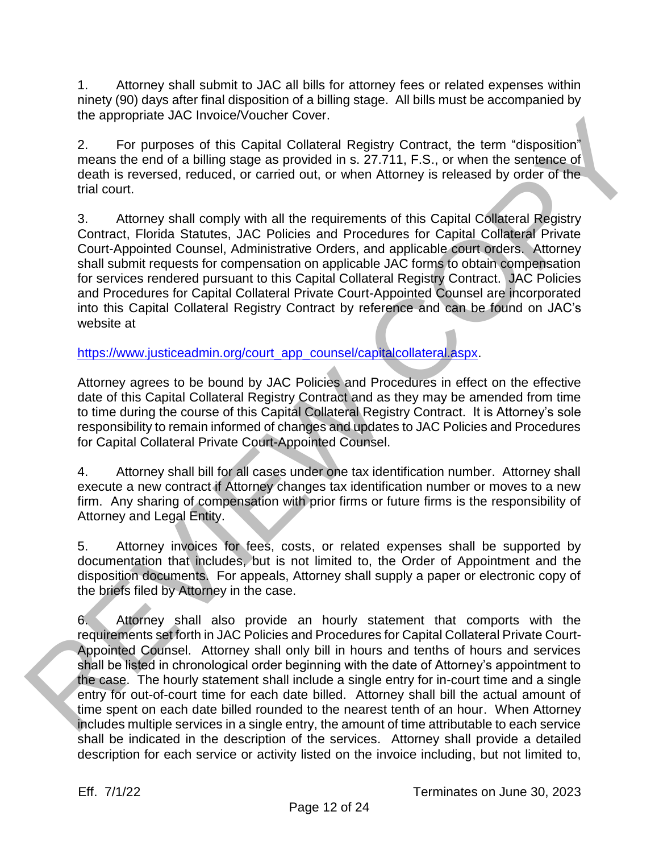1. Attorney shall submit to JAC all bills for attorney fees or related expenses within ninety (90) days after final disposition of a billing stage. All bills must be accompanied by the appropriate JAC Invoice/Voucher Cover.

2. For purposes of this Capital Collateral Registry Contract, the term "disposition" means the end of a billing stage as provided in s. 27.711, F.S., or when the sentence of death is reversed, reduced, or carried out, or when Attorney is released by order of the trial court.

3. Attorney shall comply with all the requirements of this Capital Collateral Registry Contract, Florida Statutes, JAC Policies and Procedures for Capital Collateral Private Court-Appointed Counsel, Administrative Orders, and applicable court orders. Attorney shall submit requests for compensation on applicable JAC forms to obtain compensation for services rendered pursuant to this Capital Collateral Registry Contract. JAC Policies and Procedures for Capital Collateral Private Court-Appointed Counsel are incorporated into this Capital Collateral Registry Contract by reference and can be found on JAC's website at the appropriate Jurising [C](https://www.justiceadmin.org/court_app_counsel/capitalcollateral.aspx)ounter Cover.<br>
2. For purposes of this Capital Collatoral Registry Contract, the term "disposition"<br>
means the art of a billing stage as provided in s. 27711, F.S., or when the sentence of<br>
death

## https://www.justiceadmin.org/court\_app\_counsel/capitalcollateral.aspx.

Attorney agrees to be bound by JAC Policies and Procedures in effect on the effective date of this Capital Collateral Registry Contract and as they may be amended from time to time during the course of this Capital Collateral Registry Contract. It is Attorney's sole responsibility to remain informed of changes and updates to JAC Policies and Procedures for Capital Collateral Private Court-Appointed Counsel.

4. Attorney shall bill for all cases under one tax identification number. Attorney shall execute a new contract if Attorney changes tax identification number or moves to a new firm. Any sharing of compensation with prior firms or future firms is the responsibility of Attorney and Legal Entity.

5. Attorney invoices for fees, costs, or related expenses shall be supported by documentation that includes, but is not limited to, the Order of Appointment and the disposition documents. For appeals, Attorney shall supply a paper or electronic copy of the briefs filed by Attorney in the case.

6. Attorney shall also provide an hourly statement that comports with the requirements set forth in JAC Policies and Procedures for Capital Collateral Private Court-Appointed Counsel. Attorney shall only bill in hours and tenths of hours and services shall be listed in chronological order beginning with the date of Attorney's appointment to the case. The hourly statement shall include a single entry for in-court time and a single entry for out-of-court time for each date billed. Attorney shall bill the actual amount of time spent on each date billed rounded to the nearest tenth of an hour. When Attorney includes multiple services in a single entry, the amount of time attributable to each service shall be indicated in the description of the services. Attorney shall provide a detailed description for each service or activity listed on the invoice including, but not limited to,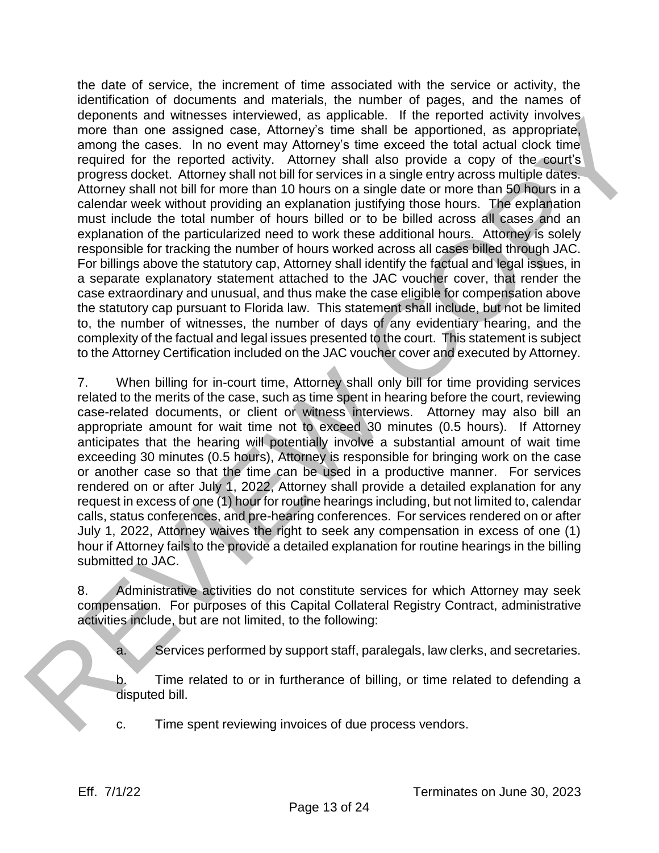the date of service, the increment of time associated with the service or activity, the identification of documents and materials, the number of pages, and the names of deponents and witnesses interviewed, as applicable. If the reported activity involves more than one assigned case, Attorney's time shall be apportioned, as appropriate, among the cases. In no event may Attorney's time exceed the total actual clock time required for the reported activity. Attorney shall also provide a copy of the court's progress docket. Attorney shall not bill for services in a single entry across multiple dates. Attorney shall not bill for more than 10 hours on a single date or more than 50 hours in a calendar week without providing an explanation justifying those hours. The explanation must include the total number of hours billed or to be billed across all cases and an explanation of the particularized need to work these additional hours. Attorney is solely responsible for tracking the number of hours worked across all cases billed through JAC. For billings above the statutory cap, Attorney shall identify the factual and legal issues, in a separate explanatory statement attached to the JAC voucher cover, that render the case extraordinary and unusual, and thus make the case eligible for compensation above the statutory cap pursuant to Florida law. This statement shall include, but not be limited to, the number of witnesses, the number of days of any evidentiary hearing, and the complexity of the factual and legal issues presented to the court. This statement is subject to the Attorney Certification included on the JAC voucher cover and executed by Attorney. opeones and wineses intereviene at a sphenable. It the reported activity involves<br>more than one assigned case, Altomys time shall be appoitioned, as appropriate,<br>among the cases, in mo enter-line, among the measured the bi

7. When billing for in-court time, Attorney shall only bill for time providing services related to the merits of the case, such as time spent in hearing before the court, reviewing case-related documents, or client or witness interviews. Attorney may also bill an appropriate amount for wait time not to exceed 30 minutes (0.5 hours). If Attorney anticipates that the hearing will potentially involve a substantial amount of wait time exceeding 30 minutes (0.5 hours), Attorney is responsible for bringing work on the case or another case so that the time can be used in a productive manner. For services rendered on or after July 1, 2022, Attorney shall provide a detailed explanation for any request in excess of one (1) hour for routine hearings including, but not limited to, calendar calls, status conferences, and pre-hearing conferences. For services rendered on or after July 1, 2022, Attorney waives the right to seek any compensation in excess of one (1) hour if Attorney fails to the provide a detailed explanation for routine hearings in the billing submitted to JAC.

8. Administrative activities do not constitute services for which Attorney may seek compensation. For purposes of this Capital Collateral Registry Contract, administrative activities include, but are not limited, to the following:

a. Services performed by support staff, paralegals, law clerks, and secretaries.

b. Time related to or in furtherance of billing, or time related to defending a disputed bill.

c. Time spent reviewing invoices of due process vendors.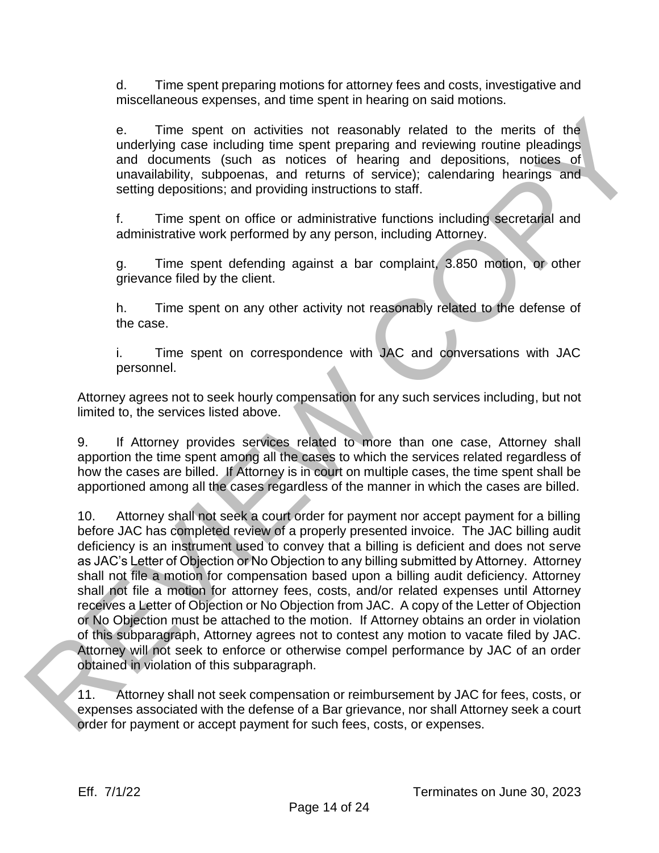d. Time spent preparing motions for attorney fees and costs, investigative and miscellaneous expenses, and time spent in hearing on said motions.

e. Time spent on activities not reasonably related to the merits of the underlying case including time spent preparing and reviewing routine pleadings and documents (such as notices of hearing and depositions, notices of unavailability, subpoenas, and returns of service); calendaring hearings and setting depositions; and providing instructions to staff.

f. Time spent on office or administrative functions including secretarial and administrative work performed by any person, including Attorney.

g. Time spent defending against a bar complaint, 3.850 motion, or other grievance filed by the client.

h. Time spent on any other activity not reasonably related to the defense of the case.

i. Time spent on correspondence with JAC and conversations with JAC personnel.

Attorney agrees not to seek hourly compensation for any such services including, but not limited to, the services listed above.

9. If Attorney provides services related to more than one case, Attorney shall apportion the time spent among all the cases to which the services related regardless of how the cases are billed. If Attorney is in court on multiple cases, the time spent shall be apportioned among all the cases regardless of the manner in which the cases are billed.

10. Attorney shall not seek a court order for payment nor accept payment for a billing before JAC has completed review of a properly presented invoice. The JAC billing audit deficiency is an instrument used to convey that a billing is deficient and does not serve as JAC's Letter of Objection or No Objection to any billing submitted by Attorney. Attorney shall not file a motion for compensation based upon a billing audit deficiency. Attorney shall not file a motion for attorney fees, costs, and/or related expenses until Attorney receives a Letter of Objection or No Objection from JAC. A copy of the Letter of Objection or No Objection must be attached to the motion. If Attorney obtains an order in violation of this subparagraph, Attorney agrees not to contest any motion to vacate filed by JAC. Attorney will not seek to enforce or otherwise compel performance by JAC of an order obtained in violation of this subparagraph. Computer on activities not reasonably related to the morits of the<br>undeflying case including time spearing and reviewing relations per<br>undeflying the spearing and reviewing relations and the more spearing to the<br>unstabilit

11. Attorney shall not seek compensation or reimbursement by JAC for fees, costs, or expenses associated with the defense of a Bar grievance, nor shall Attorney seek a court order for payment or accept payment for such fees, costs, or expenses.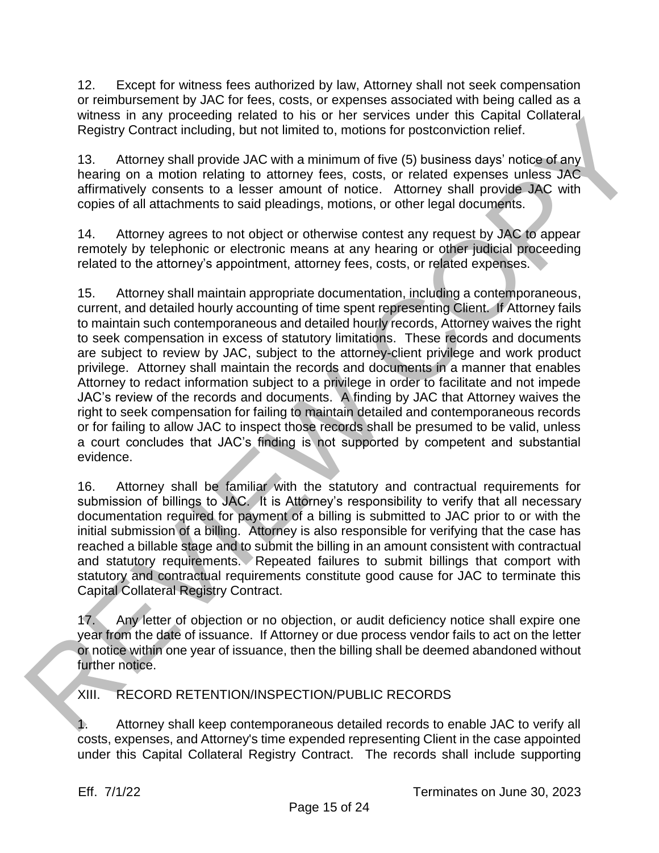12. Except for witness fees authorized by law, Attorney shall not seek compensation or reimbursement by JAC for fees, costs, or expenses associated with being called as a witness in any proceeding related to his or her services under this Capital Collateral Registry Contract including, but not limited to, motions for postconviction relief.

13. Attorney shall provide JAC with a minimum of five (5) business days' notice of any hearing on a motion relating to attorney fees, costs, or related expenses unless JAC affirmatively consents to a lesser amount of notice. Attorney shall provide JAC with copies of all attachments to said pleadings, motions, or other legal documents.

14. Attorney agrees to not object or otherwise contest any request by JAC to appear remotely by telephonic or electronic means at any hearing or other judicial proceeding related to the attorney's appointment, attorney fees, costs, or related expenses.

15. Attorney shall maintain appropriate documentation, including a contemporaneous, current, and detailed hourly accounting of time spent representing Client. If Attorney fails to maintain such contemporaneous and detailed hourly records, Attorney waives the right to seek compensation in excess of statutory limitations. These records and documents are subject to review by JAC, subject to the attorney-client privilege and work product privilege. Attorney shall maintain the records and documents in a manner that enables Attorney to redact information subject to a privilege in order to facilitate and not impede JAC's review of the records and documents. A finding by JAC that Attorney waives the right to seek compensation for failing to maintain detailed and contemporaneous records or for failing to allow JAC to inspect those records shall be presumed to be valid, unless a court concludes that JAC's finding is not supported by competent and substantial evidence. Winters in any proceeding related to risk or interestings in the scene from the Capital columeration and the minimum of the (5) business days related any<br>hearing on a motion relating to attorney fees, costs, or related exp

16. Attorney shall be familiar with the statutory and contractual requirements for submission of billings to JAC. It is Attorney's responsibility to verify that all necessary documentation required for payment of a billing is submitted to JAC prior to or with the initial submission of a billing. Attorney is also responsible for verifying that the case has reached a billable stage and to submit the billing in an amount consistent with contractual and statutory requirements. Repeated failures to submit billings that comport with statutory and contractual requirements constitute good cause for JAC to terminate this Capital Collateral Registry Contract.

17. Any letter of objection or no objection, or audit deficiency notice shall expire one year from the date of issuance. If Attorney or due process vendor fails to act on the letter or notice within one year of issuance, then the billing shall be deemed abandoned without further notice.

XIII. RECORD RETENTION/INSPECTION/PUBLIC RECORDS

1. Attorney shall keep contemporaneous detailed records to enable JAC to verify all costs, expenses, and Attorney's time expended representing Client in the case appointed under this Capital Collateral Registry Contract. The records shall include supporting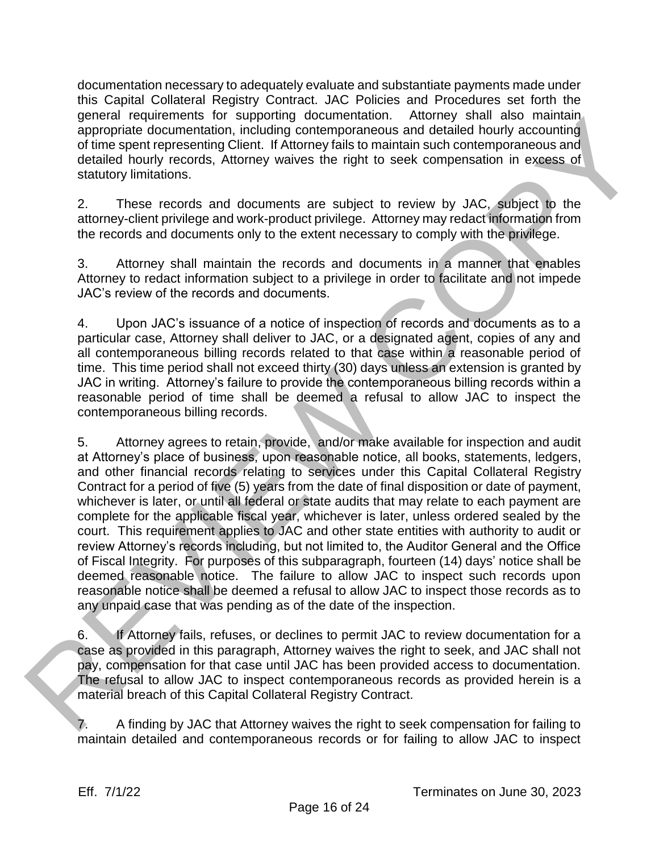documentation necessary to adequately evaluate and substantiate payments made under this Capital Collateral Registry Contract. JAC Policies and Procedures set forth the general requirements for supporting documentation. Attorney shall also maintain appropriate documentation, including contemporaneous and detailed hourly accounting of time spent representing Client. If Attorney fails to maintain such contemporaneous and detailed hourly records, Attorney waives the right to seek compensation in excess of statutory limitations.

2. These records and documents are subject to review by JAC, subject to the attorney-client privilege and work-product privilege. Attorney may redact information from the records and documents only to the extent necessary to comply with the privilege.

3. Attorney shall maintain the records and documents in a manner that enables Attorney to redact information subject to a privilege in order to facilitate and not impede JAC's review of the records and documents.

4. Upon JAC's issuance of a notice of inspection of records and documents as to a particular case, Attorney shall deliver to JAC, or a designated agent, copies of any and all contemporaneous billing records related to that case within a reasonable period of time. This time period shall not exceed thirty (30) days unless an extension is granted by JAC in writing. Attorney's failure to provide the contemporaneous billing records within a reasonable period of time shall be deemed a refusal to allow JAC to inspect the contemporaneous billing records.

5. Attorney agrees to retain, provide, and/or make available for inspection and audit at Attorney's place of business, upon reasonable notice, all books, statements, ledgers, and other financial records relating to services under this Capital Collateral Registry Contract for a period of five (5) years from the date of final disposition or date of payment, whichever is later, or until all federal or state audits that may relate to each payment are complete for the applicable fiscal year, whichever is later, unless ordered sealed by the court. This requirement applies to JAC and other state entities with authority to audit or review Attorney's records including, but not limited to, the Auditor General and the Office of Fiscal Integrity. For purposes of this subparagraph, fourteen (14) days' notice shall be deemed reasonable notice. The failure to allow JAC to inspect such records upon reasonable notice shall be deemed a refusal to allow JAC to inspect those records as to any unpaid case that was pending as of the date of the inspection. general requirements for supporting accumulation, including compensation. Amongly strail also maintains of the displace from a gap propriate documents of the spectra representation for the steady representation for the ste

6. If Attorney fails, refuses, or declines to permit JAC to review documentation for a case as provided in this paragraph, Attorney waives the right to seek, and JAC shall not pay, compensation for that case until JAC has been provided access to documentation. The refusal to allow JAC to inspect contemporaneous records as provided herein is a material breach of this Capital Collateral Registry Contract.

7. A finding by JAC that Attorney waives the right to seek compensation for failing to maintain detailed and contemporaneous records or for failing to allow JAC to inspect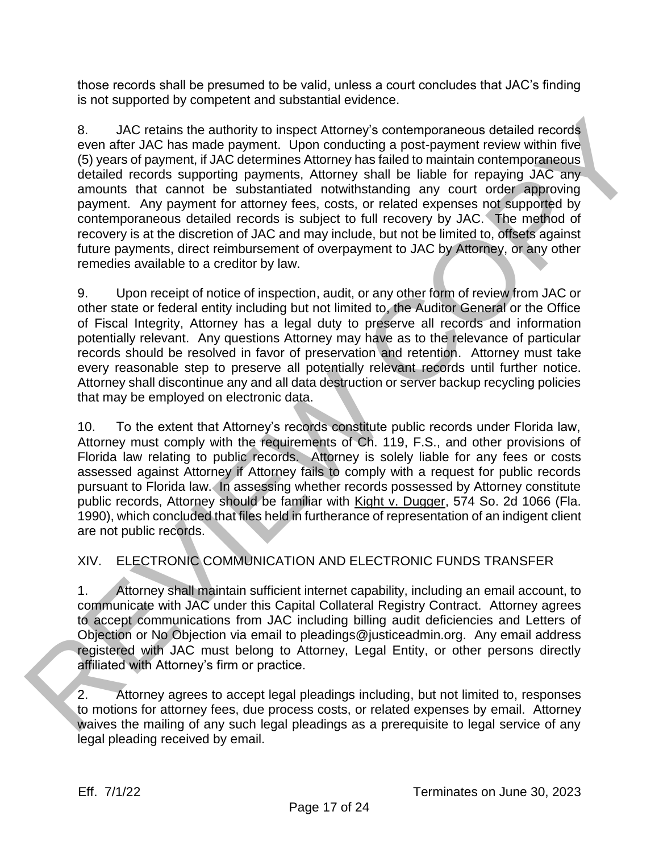those records shall be presumed to be valid, unless a court concludes that JAC's finding is not supported by competent and substantial evidence.

8. JAC retains the authority to inspect Attorney's contemporaneous detailed records even after JAC has made payment. Upon conducting a post-payment review within five (5) years of payment, if JAC determines Attorney has failed to maintain contemporaneous detailed records supporting payments, Attorney shall be liable for repaying JAC any amounts that cannot be substantiated notwithstanding any court order approving payment. Any payment for attorney fees, costs, or related expenses not supported by contemporaneous detailed records is subject to full recovery by JAC. The method of recovery is at the discretion of JAC and may include, but not be limited to, offsets against future payments, direct reimbursement of overpayment to JAC by Attorney, or any other remedies available to a creditor by law. 8. AAC rateins the authority to inspect Attorney's contemporaneous detailed records<br>connected by hear in add pormer. Upon consultant g a bost-pormer review within five<br>detailed records surporting payments. Attorney shall

9. Upon receipt of notice of inspection, audit, or any other form of review from JAC or other state or federal entity including but not limited to, the Auditor General or the Office of Fiscal Integrity, Attorney has a legal duty to preserve all records and information potentially relevant. Any questions Attorney may have as to the relevance of particular records should be resolved in favor of preservation and retention. Attorney must take every reasonable step to preserve all potentially relevant records until further notice. Attorney shall discontinue any and all data destruction or server backup recycling policies that may be employed on electronic data.

10. To the extent that Attorney's records constitute public records under Florida law, Attorney must comply with the requirements of Ch. 119, F.S., and other provisions of Florida law relating to public records. Attorney is solely liable for any fees or costs assessed against Attorney if Attorney fails to comply with a request for public records pursuant to Florida law. In assessing whether records possessed by Attorney constitute public records, Attorney should be familiar with Kight v. Dugger, 574 So. 2d 1066 (Fla. 1990), which concluded that files held in furtherance of representation of an indigent client are not public records.

XIV. ELECTRONIC COMMUNICATION AND ELECTRONIC FUNDS TRANSFER

1. Attorney shall maintain sufficient internet capability, including an email account, to communicate with JAC under this Capital Collateral Registry Contract. Attorney agrees to accept communications from JAC including billing audit deficiencies and Letters of Objection or No Objection via email to pleadings@justiceadmin.org. Any email address registered with JAC must belong to Attorney, Legal Entity, or other persons directly affiliated with Attorney's firm or practice.

2. Attorney agrees to accept legal pleadings including, but not limited to, responses to motions for attorney fees, due process costs, or related expenses by email. Attorney waives the mailing of any such legal pleadings as a prerequisite to legal service of any legal pleading received by email.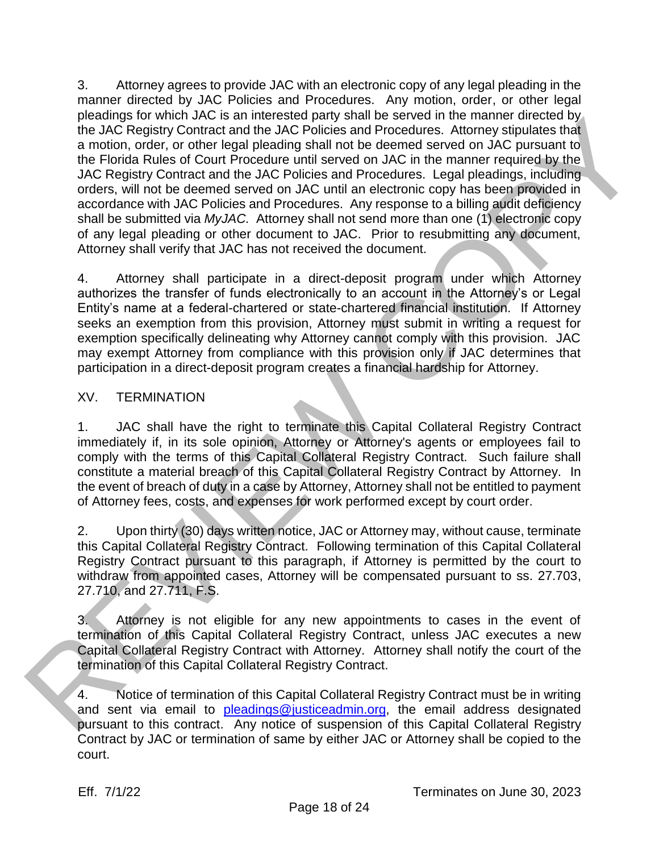3. Attorney agrees to provide JAC with an electronic copy of any legal pleading in the manner directed by JAC Policies and Procedures. Any motion, order, or other legal pleadings for which JAC is an interested party shall be served in the manner directed by the JAC Registry Contract and the JAC Policies and Procedures. Attorney stipulates that a motion, order, or other legal pleading shall not be deemed served on JAC pursuant to the Florida Rules of Court Procedure until served on JAC in the manner required by the JAC Registry Contract and the JAC Policies and Procedures. Legal pleadings, including orders, will not be deemed served on JAC until an electronic copy has been provided in accordance with JAC Policies and Procedures. Any response to a billing audit deficiency shall be submitted via *MyJAC.* Attorney shall not send more than one (1) electronic copy of any legal pleading or other document to JAC. Prior to resubmitting any document, Attorney shall verify that JAC has not received the document. because of which and meta-steal party stail to selected not the main of elected or the main of the court of the control of the control of the control of the control of the control of the control of the control of the contr

4. Attorney shall participate in a direct-deposit program under which Attorney authorizes the transfer of funds electronically to an account in the Attorney's or Legal Entity's name at a federal-chartered or state-chartered financial institution. If Attorney seeks an exemption from this provision, Attorney must submit in writing a request for exemption specifically delineating why Attorney cannot comply with this provision. JAC may exempt Attorney from compliance with this provision only if JAC determines that participation in a direct-deposit program creates a financial hardship for Attorney.

## XV. TERMINATION

1. JAC shall have the right to terminate this Capital Collateral Registry Contract immediately if, in its sole opinion, Attorney or Attorney's agents or employees fail to comply with the terms of this Capital Collateral Registry Contract. Such failure shall constitute a material breach of this Capital Collateral Registry Contract by Attorney. In the event of breach of duty in a case by Attorney, Attorney shall not be entitled to payment of Attorney fees, costs, and expenses for work performed except by court order.

2. Upon thirty (30) days written notice, JAC or Attorney may, without cause, terminate this Capital Collateral Registry Contract. Following termination of this Capital Collateral Registry Contract pursuant to this paragraph, if Attorney is permitted by the court to withdraw from appointed cases, Attorney will be compensated pursuant to ss. 27.703, 27.710, and 27.711, F.S.

3. Attorney is not eligible for any new appointments to cases in the event of termination of this Capital Collateral Registry Contract, unless JAC executes a new Capital Collateral Registry Contract with Attorney. Attorney shall notify the court of the termination of this Capital Collateral Registry Contract.

4. Notice of termination of this Capital Collateral Registry Contract must be in writing and sent via email to pleadings@justiceadmin.org, the email address designated pursuant to this contract. Any notice of suspension of this Capital Collateral Registry Contract by JAC or termination of same by either JAC or Attorney shall be copied to the court.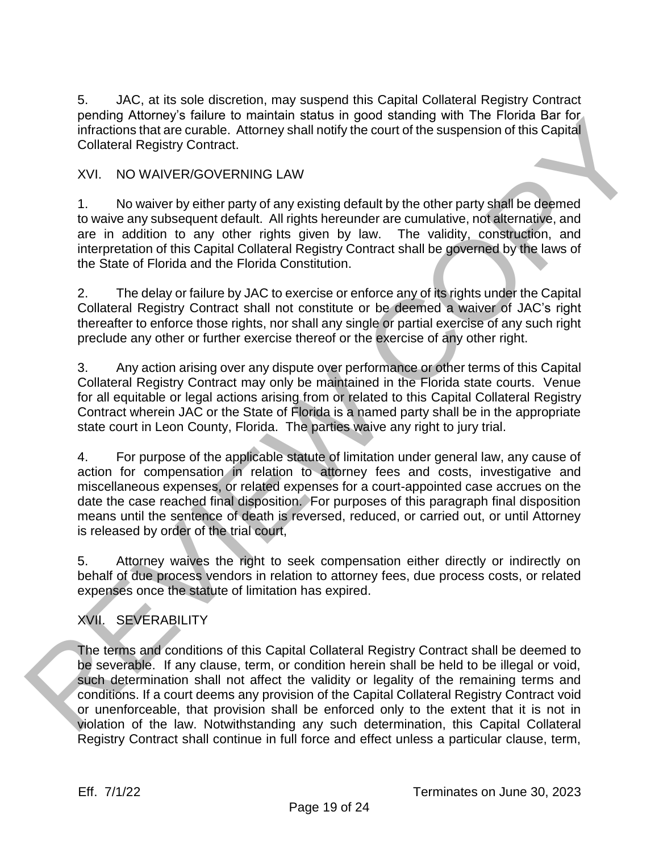5. JAC, at its sole discretion, may suspend this Capital Collateral Registry Contract pending Attorney's failure to maintain status in good standing with The Florida Bar for infractions that are curable. Attorney shall notify the court of the suspension of this Capital Collateral Registry Contract.

## XVI. NO WAIVER/GOVERNING LAW

1. No waiver by either party of any existing default by the other party shall be deemed to waive any subsequent default. All rights hereunder are cumulative, not alternative, and are in addition to any other rights given by law. The validity, construction, and interpretation of this Capital Collateral Registry Contract shall be governed by the laws of the State of Florida and the Florida Constitution.

2. The delay or failure by JAC to exercise or enforce any of its rights under the Capital Collateral Registry Contract shall not constitute or be deemed a waiver of JAC's right thereafter to enforce those rights, nor shall any single or partial exercise of any such right preclude any other or further exercise thereof or the exercise of any other right.

3. Any action arising over any dispute over performance or other terms of this Capital Collateral Registry Contract may only be maintained in the Florida state courts. Venue for all equitable or legal actions arising from or related to this Capital Collateral Registry Contract wherein JAC or the State of Florida is a named party shall be in the appropriate state court in Leon County, Florida. The parties waive any right to jury trial.

4. For purpose of the applicable statute of limitation under general law, any cause of action for compensation in relation to attorney fees and costs, investigative and miscellaneous expenses, or related expenses for a court-appointed case accrues on the date the case reached final disposition. For purposes of this paragraph final disposition means until the sentence of death is reversed, reduced, or carried out, or until Attorney is released by order of the trial court, penality moments rating to marking that the most and may will be reloted bar for the state of the collateral Registry<br>Collateral Registry Contract.<br>
Y.I. No WAIVER/GOVERNING LAW<br>
1. No wave try stiffers party of any existi

5. Attorney waives the right to seek compensation either directly or indirectly on behalf of due process vendors in relation to attorney fees, due process costs, or related expenses once the statute of limitation has expired.

# XVII. SEVERABILITY

The terms and conditions of this Capital Collateral Registry Contract shall be deemed to be severable. If any clause, term, or condition herein shall be held to be illegal or void, such determination shall not affect the validity or legality of the remaining terms and conditions. If a court deems any provision of the Capital Collateral Registry Contract void or unenforceable, that provision shall be enforced only to the extent that it is not in violation of the law. Notwithstanding any such determination, this Capital Collateral Registry Contract shall continue in full force and effect unless a particular clause, term,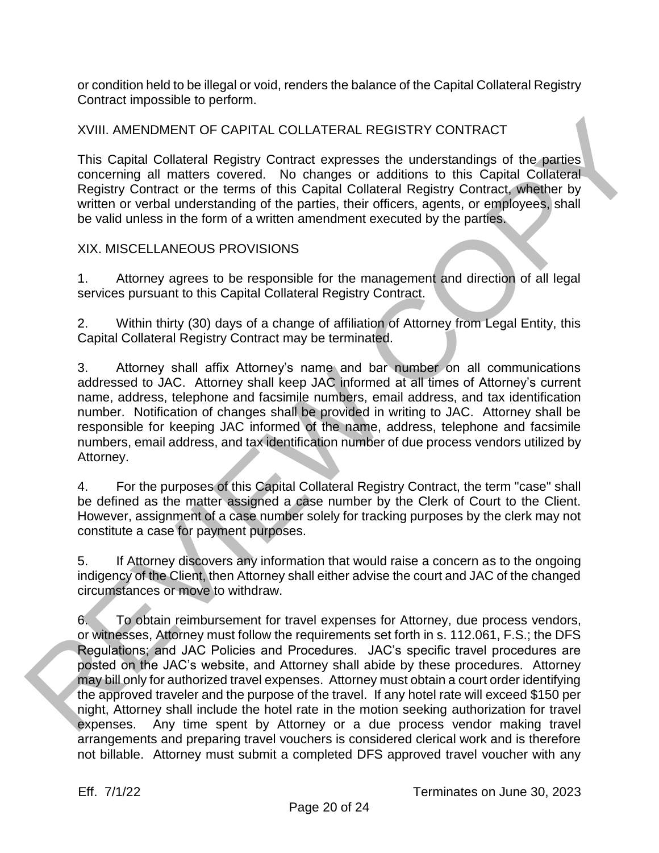or condition held to be illegal or void, renders the balance of the Capital Collateral Registry Contract impossible to perform.

XVIII. AMENDMENT OF CAPITAL COLLATERAL REGISTRY CONTRACT

This Capital Collateral Registry Contract expresses the understandings of the parties concerning all matters covered. No changes or additions to this Capital Collateral Registry Contract or the terms of this Capital Collateral Registry Contract, whether by written or verbal understanding of the parties, their officers, agents, or employees, shall be valid unless in the form of a written amendment executed by the parties.

## XIX. MISCELLANEOUS PROVISIONS

1. Attorney agrees to be responsible for the management and direction of all legal services pursuant to this Capital Collateral Registry Contract.

2. Within thirty (30) days of a change of affiliation of Attorney from Legal Entity, this Capital Collateral Registry Contract may be terminated.

3. Attorney shall affix Attorney's name and bar number on all communications addressed to JAC. Attorney shall keep JAC informed at all times of Attorney's current name, address, telephone and facsimile numbers, email address, and tax identification number. Notification of changes shall be provided in writing to JAC. Attorney shall be responsible for keeping JAC informed of the name, address, telephone and facsimile numbers, email address, and tax identification number of due process vendors utilized by Attorney.

4. For the purposes of this Capital Collateral Registry Contract, the term "case" shall be defined as the matter assigned a case number by the Clerk of Court to the Client. However, assignment of a case number solely for tracking purposes by the clerk may not constitute a case for payment purposes.

5. If Attorney discovers any information that would raise a concern as to the ongoing indigency of the Client, then Attorney shall either advise the court and JAC of the changed circumstances or move to withdraw.

6. To obtain reimbursement for travel expenses for Attorney, due process vendors, or witnesses, Attorney must follow the requirements set forth in s. 112.061, F.S.; the DFS Regulations; and JAC Policies and Procedures. JAC's specific travel procedures are posted on the JAC's website, and Attorney shall abide by these procedures. Attorney may bill only for authorized travel expenses. Attorney must obtain a court order identifying the approved traveler and the purpose of the travel. If any hotel rate will exceed \$150 per night, Attorney shall include the hotel rate in the motion seeking authorization for travel expenses. Any time spent by Attorney or a due process vendor making travel arrangements and preparing travel vouchers is considered clerical work and is therefore XVIII. AMENOMENT OF CAPITAL COLLATERAL REGISTRY CONTRACT<br>
This Coptis Collisteral Registry Comtract expresses the understanding of the parties<br>
concerning all matters covered. No changes or additions to this Capital Collat not billable. Attorney must submit a completed DFS approved travel voucher with any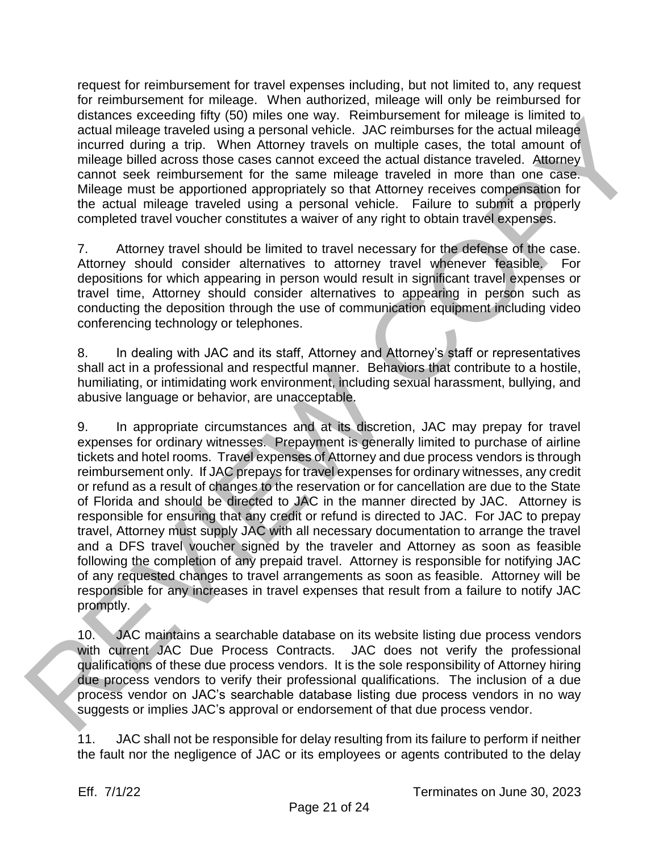request for reimbursement for travel expenses including, but not limited to, any request for reimbursement for mileage. When authorized, mileage will only be reimbursed for distances exceeding fifty (50) miles one way. Reimbursement for mileage is limited to actual mileage traveled using a personal vehicle. JAC reimburses for the actual mileage incurred during a trip. When Attorney travels on multiple cases, the total amount of mileage billed across those cases cannot exceed the actual distance traveled. Attorney cannot seek reimbursement for the same mileage traveled in more than one case. Mileage must be apportioned appropriately so that Attorney receives compensation for the actual mileage traveled using a personal vehicle. Failure to submit a properly completed travel voucher constitutes a waiver of any right to obtain travel expenses.

7. Attorney travel should be limited to travel necessary for the defense of the case. Attorney should consider alternatives to attorney travel whenever feasible. For depositions for which appearing in person would result in significant travel expenses or travel time, Attorney should consider alternatives to appearing in person such as conducting the deposition through the use of communication equipment including video conferencing technology or telephones.

8. In dealing with JAC and its staff, Attorney and Attorney's staff or representatives shall act in a professional and respectful manner. Behaviors that contribute to a hostile, humiliating, or intimidating work environment, including sexual harassment, bullying, and abusive language or behavior, are unacceptable.

9. In appropriate circumstances and at its discretion, JAC may prepay for travel expenses for ordinary witnesses. Prepayment is generally limited to purchase of airline tickets and hotel rooms. Travel expenses of Attorney and due process vendors is through reimbursement only. If JAC prepays for travel expenses for ordinary witnesses, any credit or refund as a result of changes to the reservation or for cancellation are due to the State of Florida and should be directed to JAC in the manner directed by JAC. Attorney is responsible for ensuring that any credit or refund is directed to JAC. For JAC to prepay travel, Attorney must supply JAC with all necessary documentation to arrange the travel and a DFS travel voucher signed by the traveler and Attorney as soon as feasible following the completion of any prepaid travel. Attorney is responsible for notifying JAC of any requested changes to travel arrangements as soon as feasible. Attorney will be responsible for any increases in travel expenses that result from a failure to notify JAC promptly. distances exceeding inty (soli) miles one way. Hemolutement for miles gis lamifies a<br>solution miles a particular parameteristic which is a Continuous for the adult influence<br>incurrent for the same miles as model and more t

10. JAC maintains a searchable database on its website listing due process vendors with current JAC Due Process Contracts. JAC does not verify the professional qualifications of these due process vendors. It is the sole responsibility of Attorney hiring due process vendors to verify their professional qualifications. The inclusion of a due process vendor on JAC's searchable database listing due process vendors in no way suggests or implies JAC's approval or endorsement of that due process vendor.

11. JAC shall not be responsible for delay resulting from its failure to perform if neither the fault nor the negligence of JAC or its employees or agents contributed to the delay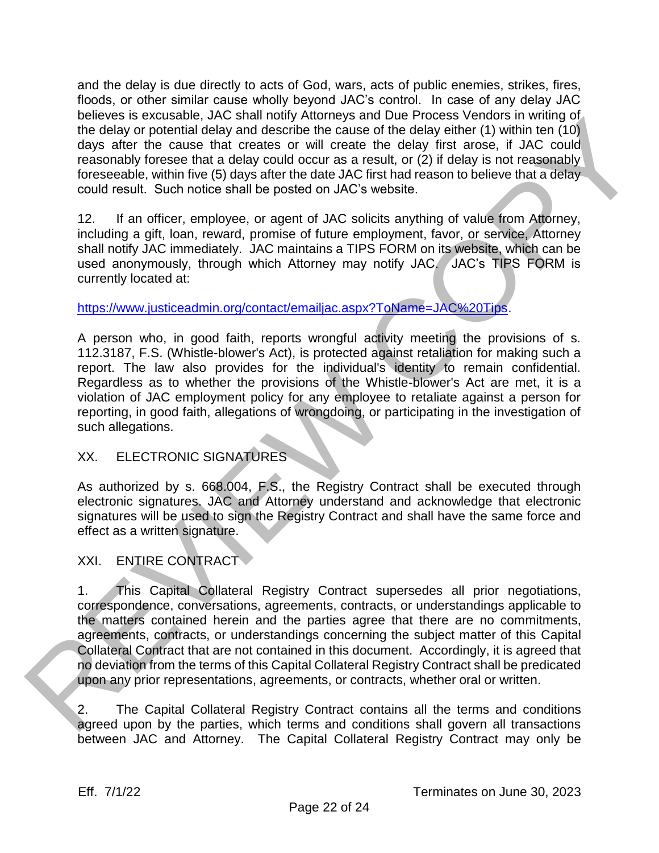and the delay is due directly to acts of God, wars, acts of public enemies, strikes, fires, floods, or other similar cause wholly beyond JAC's control. In case of any delay JAC believes is excusable, JAC shall notify Attorneys and Due Process Vendors in writing of the delay or potential delay and describe the cause of the delay either (1) within ten (10) days after the cause that creates or will create the delay first arose, if JAC could reasonably foresee that a delay could occur as a result, or (2) if delay is not reasonably foreseeable, within five (5) days after the date JAC first had reason to believe that a delay could result. Such notice shall be posted on JAC's website.

12. If an officer, employee, or agent of JAC solicits anything of value from Attorney, including a gift, loan, reward, promise of future employment, favor, or service, Attorney shall notify JAC immediately. JAC maintains a TIPS FORM on its website, which can be used anonymously, through which Attorney may notify JAC. JAC's TIPS FORM is currently located at:

https://www.justiceadmin.org/contact/emailjac.aspx?ToName=JAC%20Tips.

A person who, in good faith, reports wrongful activity meeting the provisions of s. 112.3187, F.S. (Whistle-blower's Act), is protected against retaliation for making such a report. The law also provides for the individual's identity to remain confidential. Regardless as to whether the provisions of the Whistle-blower's Act are met, it is a violation of JAC employment policy for any employee to retaliate against a person for reporting, in good faith, allegations of wrongdoing, or participating in the investigation of such allegations. believes is excusable. An Small northy Momey since Process vennote in whiting or<br>the delay or potential dolby and describe the cause of the delay interret (1) within on (10)<br>days are the the cause and related as of with cr

## XX. ELECTRONIC SIGNATURES

As authorized by s. 668.004, F.S., the Registry Contract shall be executed through electronic signatures. JAC and Attorney understand and acknowledge that electronic signatures will be used to sign the Registry Contract and shall have the same force and effect as a written signature.

## XXI. ENTIRE CONTRACT

1. This Capital Collateral Registry Contract supersedes all prior negotiations, correspondence, conversations, agreements, contracts, or understandings applicable to the matters contained herein and the parties agree that there are no commitments, agreements, contracts, or understandings concerning the subject matter of this Capital Collateral Contract that are not contained in this document. Accordingly, it is agreed that no deviation from the terms of this Capital Collateral Registry Contract shall be predicated upon any prior representations, agreements, or contracts, whether oral or written.

2. The Capital Collateral Registry Contract contains all the terms and conditions agreed upon by the parties, which terms and conditions shall govern all transactions between JAC and Attorney. The Capital Collateral Registry Contract may only be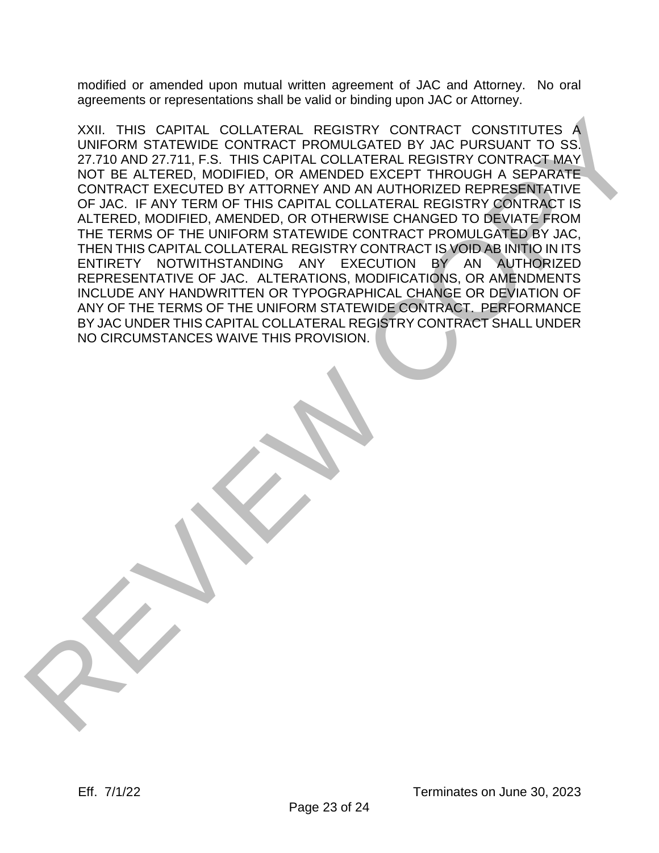modified or amended upon mutual written agreement of JAC and Attorney. No oral agreements or representations shall be valid or binding upon JAC or Attorney.

XXII. THIS CAPITAL COLLATERAL REGISTRY CONTRACT CONSTITUTES A UNIFORM STATEWIDE CONTRACT PROMULGATED BY JAC PURSUANT TO SS. 27.710 AND 27.711, F.S. THIS CAPITAL COLLATERAL REGISTRY CONTRACT MAY NOT BE ALTERED, MODIFIED, OR AMENDED EXCEPT THROUGH A SEPARATE CONTRACT EXECUTED BY ATTORNEY AND AN AUTHORIZED REPRESENTATIVE OF JAC. IF ANY TERM OF THIS CAPITAL COLLATERAL REGISTRY CONTRACT IS ALTERED, MODIFIED, AMENDED, OR OTHERWISE CHANGED TO DEVIATE FROM THE TERMS OF THE UNIFORM STATEWIDE CONTRACT PROMULGATED BY JAC, THEN THIS CAPITAL COLLATERAL REGISTRY CONTRACT IS VOID AB INITIO IN ITS ENTIRETY NOTWITHSTANDING ANY EXECUTION BY AN AUTHORIZED REPRESENTATIVE OF JAC. ALTERATIONS, MODIFICATIONS, OR AMENDMENTS INCLUDE ANY HANDWRITTEN OR TYPOGRAPHICAL CHANGE OR DEVIATION OF ANY OF THE TERMS OF THE UNIFORM STATEWIDE CONTRACT. PERFORMANCE BY JAC UNDER THIS CAPITAL COLLATERAL REGISTRY CONTRACT SHALL UNDER NO CIRCUMSTANCES WAIVE THIS PROVISION. XVIII THIS CAPITAL COLLATERAL REGISTRY CONTRACT POWER TO CONTRACT DOWN CONTRACT REVIEW ON CONSIDERATION CONTRACT PRODUCED BY AND THROUGH A SEPARATE COLLATERAL REGISTRY CONTRACT HAVE THE THROUGH A SEPARATE OF THE CAPITAL CO